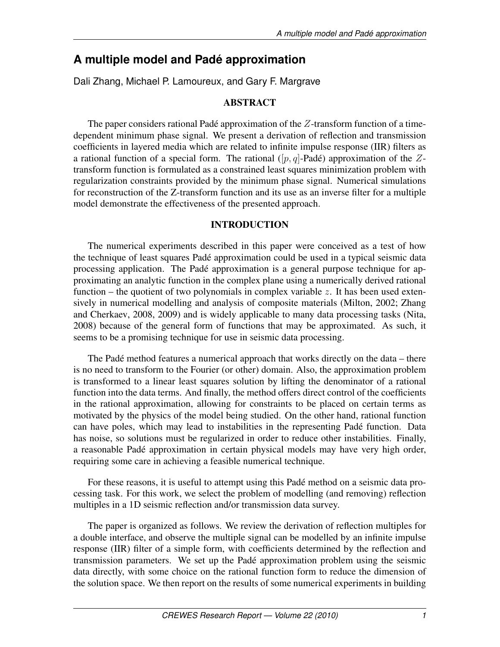# **A multiple model and Padé approximation**

Dali Zhang, Michael P. Lamoureux, and Gary F. Margrave

# ABSTRACT

The paper considers rational Padé approximation of the  $Z$ -transform function of a timedependent minimum phase signal. We present a derivation of reflection and transmission coefficients in layered media which are related to infinite impulse response (IIR) filters as a rational function of a special form. The rational  $([p, q]$ -Padé) approximation of the Ztransform function is formulated as a constrained least squares minimization problem with regularization constraints provided by the minimum phase signal. Numerical simulations for reconstruction of the Z-transform function and its use as an inverse filter for a multiple model demonstrate the effectiveness of the presented approach.

## INTRODUCTION

The numerical experiments described in this paper were conceived as a test of how the technique of least squares Padé approximation could be used in a typical seismic data processing application. The Padé approximation is a general purpose technique for approximating an analytic function in the complex plane using a numerically derived rational function – the quotient of two polynomials in complex variable  $z$ . It has been used extensively in numerical modelling and analysis of composite materials (Milton, 2002; Zhang and Cherkaev, 2008, 2009) and is widely applicable to many data processing tasks (Nita, 2008) because of the general form of functions that may be approximated. As such, it seems to be a promising technique for use in seismic data processing.

The Padé method features a numerical approach that works directly on the data – there is no need to transform to the Fourier (or other) domain. Also, the approximation problem is transformed to a linear least squares solution by lifting the denominator of a rational function into the data terms. And finally, the method offers direct control of the coefficients in the rational approximation, allowing for constraints to be placed on certain terms as motivated by the physics of the model being studied. On the other hand, rational function can have poles, which may lead to instabilities in the representing Padé function. Data has noise, so solutions must be regularized in order to reduce other instabilities. Finally, a reasonable Padé approximation in certain physical models may have very high order, requiring some care in achieving a feasible numerical technique.

For these reasons, it is useful to attempt using this Padé method on a seismic data processing task. For this work, we select the problem of modelling (and removing) reflection multiples in a 1D seismic reflection and/or transmission data survey.

The paper is organized as follows. We review the derivation of reflection multiples for a double interface, and observe the multiple signal can be modelled by an infinite impulse response (IIR) filter of a simple form, with coefficients determined by the reflection and transmission parameters. We set up the Padé approximation problem using the seismic data directly, with some choice on the rational function form to reduce the dimension of the solution space. We then report on the results of some numerical experiments in building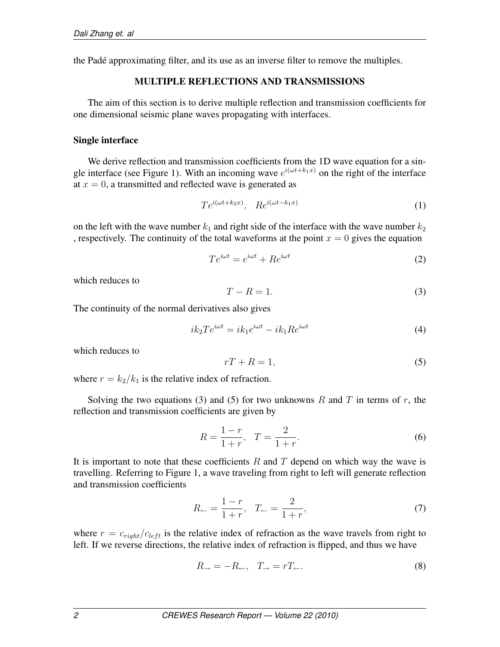the Padé approximating filter, and its use as an inverse filter to remove the multiples.

## MULTIPLE REFLECTIONS AND TRANSMISSIONS

The aim of this section is to derive multiple reflection and transmission coefficients for one dimensional seismic plane waves propagating with interfaces.

## Single interface

We derive reflection and transmission coefficients from the 1D wave equation for a single interface (see Figure 1). With an incoming wave  $e^{i(\omega t + k_1 x)}$  on the right of the interface at  $x = 0$ , a transmitted and reflected wave is generated as

$$
Te^{i(\omega t + k_2 x)}, \quad Re^{i(\omega t - k_1 x)} \tag{1}
$$

on the left with the wave number  $k_1$  and right side of the interface with the wave number  $k_2$ , respectively. The continuity of the total waveforms at the point  $x = 0$  gives the equation

$$
Te^{i\omega t} = e^{i\omega t} + Re^{i\omega t}
$$
 (2)

which reduces to

$$
T - R = 1.\t\t(3)
$$

The continuity of the normal derivatives also gives

$$
ik_2Te^{i\omega t} = ik_1e^{i\omega t} - ik_1Re^{i\omega t}
$$
\n<sup>(4)</sup>

which reduces to

$$
rT + R = 1,\t\t(5)
$$

where  $r = k_2/k_1$  is the relative index of refraction.

Solving the two equations (3) and (5) for two unknowns R and T in terms of r, the reflection and transmission coefficients are given by

$$
R = \frac{1-r}{1+r}, \quad T = \frac{2}{1+r}.
$$
\n(6)

It is important to note that these coefficients  $R$  and  $T$  depend on which way the wave is travelling. Referring to Figure 1, a wave traveling from right to left will generate reflection and transmission coefficients

$$
R_{\leftarrow} = \frac{1 - r}{1 + r}, \quad T_{\leftarrow} = \frac{2}{1 + r}, \tag{7}
$$

where  $r = c_{right}/c_{left}$  is the relative index of refraction as the wave travels from right to left. If we reverse directions, the relative index of refraction is flipped, and thus we have

$$
R_{\rightarrow} = -R_{\leftarrow}, \quad T_{\rightarrow} = rT_{\leftarrow}.
$$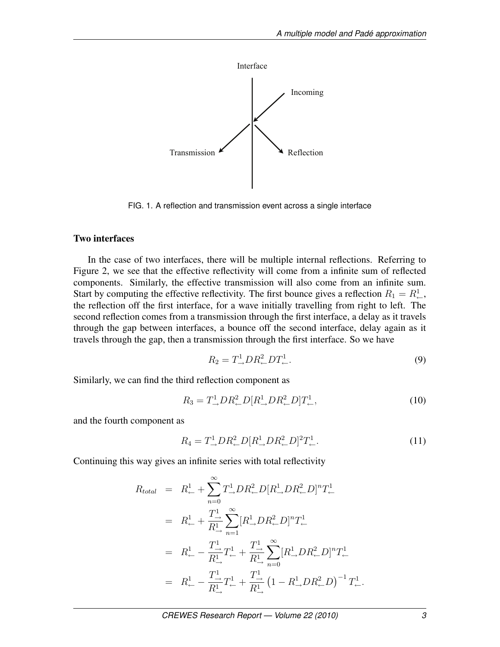

FIG. 1. A reflection and transmission event across a single interface

## Two interfaces

In the case of two interfaces, there will be multiple internal reflections. Referring to Figure 2, we see that the effective reflectivity will come from a infinite sum of reflected components. Similarly, the effective transmission will also come from an infinite sum. Start by computing the effective reflectivity. The first bounce gives a reflection  $R_1 = R^1_{\leftarrow}$ , the reflection off the first interface, for a wave initially travelling from right to left. The second reflection comes from a transmission through the first interface, a delay as it travels through the gap between interfaces, a bounce off the second interface, delay again as it travels through the gap, then a transmission through the first interface. So we have

$$
R_2 = T^1 \_\rightarrow D R^2 \_\rightarrow D T^1 \_.
$$
\n<sup>(9)</sup>

Similarly, we can find the third reflection component as

$$
R_3 = T^1_{\rightarrow} DR^2_{\leftarrow}D[R^1_{\rightarrow}DR^2_{\leftarrow}D]T^1_{\leftarrow},\tag{10}
$$

and the fourth component as

$$
R_4 = T^1_{\rightarrow} D R^2_{\leftarrow} D [R^1_{\rightarrow} D R^2_{\leftarrow} D]^2 T^1_{\leftarrow}.
$$
 (11)

Continuing this way gives an infinite series with total reflectivity

$$
R_{total} = R_{\leftarrow}^{1} + \sum_{n=0}^{\infty} T_{\rightarrow}^{1} DR_{\leftarrow}^{2}D[R_{\rightarrow}^{1}DR_{\leftarrow}^{2}D]^{n}T_{\leftarrow}^{1}
$$
  
\n
$$
= R_{\leftarrow}^{1} + \frac{T_{\rightarrow}^{1}}{R_{\rightarrow}^{1}} \sum_{n=1}^{\infty} [R_{\rightarrow}^{1}DR_{\leftarrow}^{2}D]^{n}T_{\leftarrow}^{1}
$$
  
\n
$$
= R_{\leftarrow}^{1} - \frac{T_{\rightarrow}^{1}}{R_{\rightarrow}^{1}}T_{\leftarrow}^{1} + \frac{T_{\rightarrow}^{1}}{R_{\rightarrow}^{1}} \sum_{n=0}^{\infty} [R_{\rightarrow}^{1}DR_{\leftarrow}^{2}D]^{n}T_{\leftarrow}^{1}
$$
  
\n
$$
= R_{\leftarrow}^{1} - \frac{T_{\rightarrow}^{1}}{R_{\rightarrow}^{1}}T_{\leftarrow}^{1} + \frac{T_{\rightarrow}^{1}}{R_{\rightarrow}^{1}}(1 - R_{\rightarrow}^{1}DR_{\leftarrow}^{2}D)^{-1}T_{\leftarrow}^{1}.
$$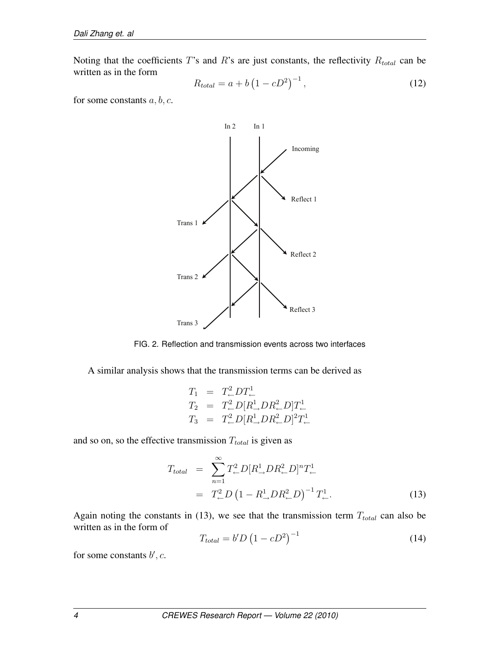Noting that the coefficients  $T$ 's and  $R$ 's are just constants, the reflectivity  $R_{total}$  can be written as in the form ¡  $\sqrt{-1}$ 

$$
R_{total} = a + b \left(1 - cD^2\right)^{-1},\tag{12}
$$

for some constants  $a, b, c$ .



FIG. 2. Reflection and transmission events across two interfaces

A similar analysis shows that the transmission terms can be derived as

$$
\begin{array}{rcl} T_1 &=& T^2_{\leftarrow} D T^1_{\leftarrow} \\[2mm] T_2 &=& T^2_{\leftarrow} D [R^1_{\rightarrow} D R^2_{\leftarrow} D] T^1_{\leftarrow} \\[2mm] T_3 &=& T^2_{\leftarrow} D [R^1_{\rightarrow} D R^2_{\leftarrow} D]^2 T^1_{\leftarrow} \end{array}
$$

and so on, so the effective transmission  $T_{total}$  is given as

$$
T_{total} = \sum_{n=1}^{\infty} T_{\leftarrow}^{2} D[R_{\rightarrow}^{1} DR_{\leftarrow}^{2} D]^{n} T_{\leftarrow}^{1}
$$
  
=  $T_{\leftarrow}^{2} D \left(1 - R_{\rightarrow}^{1} DR_{\leftarrow}^{2} D\right)^{-1} T_{\leftarrow}^{1}.$  (13)

Again noting the constants in (13), we see that the transmission term  $T_{total}$  can also be written as in the form of ¡  $\sqrt{-1}$ 

$$
T_{total} = b'D \left(1 - cD^2\right)^{-1} \tag{14}
$$

for some constants  $b', c$ .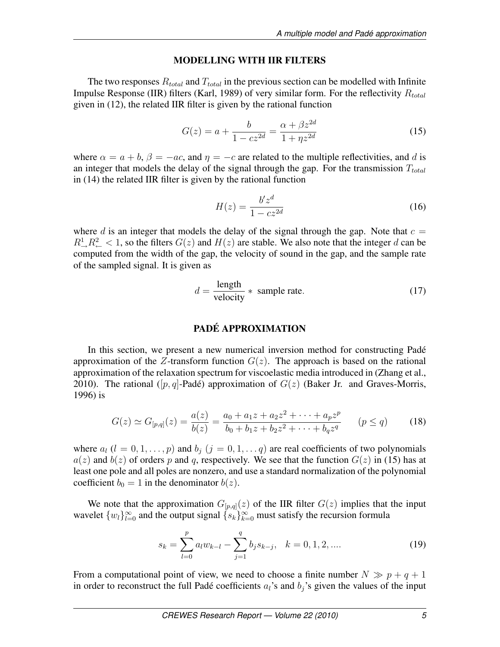#### MODELLING WITH IIR FILTERS

The two responses  $R_{total}$  and  $T_{total}$  in the previous section can be modelled with Infinite Impulse Response (IIR) filters (Karl, 1989) of very similar form. For the reflectivity  $R_{total}$ given in (12), the related IIR filter is given by the rational function

$$
G(z) = a + \frac{b}{1 - cz^{2d}} = \frac{\alpha + \beta z^{2d}}{1 + \eta z^{2d}}
$$
(15)

where  $\alpha = a + b$ ,  $\beta = -ac$ , and  $\eta = -c$  are related to the multiple reflectivities, and d is an integer that models the delay of the signal through the gap. For the transmission  $T_{total}$ in (14) the related IIR filter is given by the rational function

$$
H(z) = \frac{b'z^d}{1 - cz^{2d}}\tag{16}
$$

where d is an integer that models the delay of the signal through the gap. Note that  $c =$  $R^1 \rightarrow R^2 \sim 1$ , so the filters  $G(z)$  and  $H(z)$  are stable. We also note that the integer d can be computed from the width of the gap, the velocity of sound in the gap, and the sample rate of the sampled signal. It is given as

$$
d = \frac{\text{length}}{\text{velocity}} * \text{ sample rate.} \tag{17}
$$

#### PADÉ APPROXIMATION

In this section, we present a new numerical inversion method for constructing Padé approximation of the Z-transform function  $G(z)$ . The approach is based on the rational approximation of the relaxation spectrum for viscoelastic media introduced in (Zhang et al., 2010). The rational ([p, q]-Padé) approximation of  $G(z)$  (Baker Jr. and Graves-Morris, 1996) is

$$
G(z) \simeq G_{[p,q]}(z) = \frac{a(z)}{b(z)} = \frac{a_0 + a_1 z + a_2 z^2 + \dots + a_p z^p}{b_0 + b_1 z + b_2 z^2 + \dots + b_q z^q} \qquad (p \le q)
$$
 (18)

where  $a_l$  ( $l = 0, 1, \ldots, p$ ) and  $b_j$  ( $j = 0, 1, \ldots, q$ ) are real coefficients of two polynomials  $a(z)$  and  $b(z)$  of orders p and q, respectively. We see that the function  $G(z)$  in (15) has at least one pole and all poles are nonzero, and use a standard normalization of the polynomial coefficient  $b_0 = 1$  in the denominator  $b(z)$ .

We note that the approximation  $G_{[p,q]}(z)$  of the IIR filter  $G(z)$  implies that the input wavelet  $\{w_l\}_{l=0}^{\infty}$  and the output signal  $\{s_k\}_{k=0}^{\infty}$  must satisfy the recursion formula

$$
s_k = \sum_{l=0}^{p} a_l w_{k-l} - \sum_{j=1}^{q} b_j s_{k-j}, \quad k = 0, 1, 2, ....
$$
 (19)

From a computational point of view, we need to choose a finite number  $N \gg p + q + 1$ in order to reconstruct the full Padé coefficients  $a_i$ 's and  $b_j$ 's given the values of the input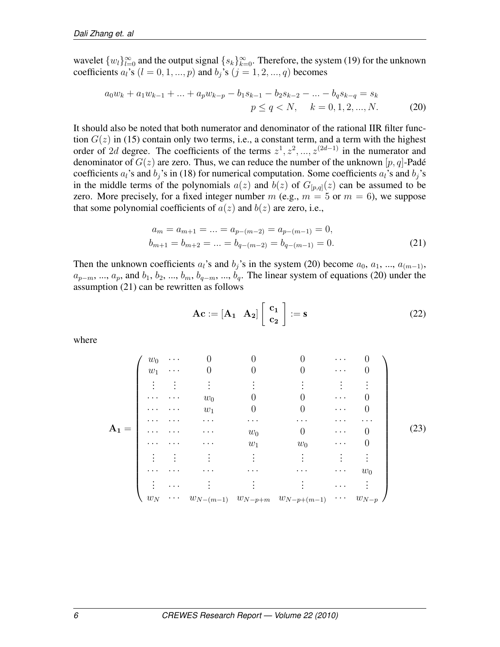wavelet  $\{w_l\}_{l=0}^{\infty}$  and the output signal  $\{s_k\}_{k=0}^{\infty}$ . Therefore, the system (19) for the unknown coefficients  $a_i$ 's  $(l = 0, 1, ..., p)$  and  $b_i$ 's  $(j = 1, 2, ..., q)$  becomes

$$
a_0 w_k + a_1 w_{k-1} + \dots + a_p w_{k-p} - b_1 s_{k-1} - b_2 s_{k-2} - \dots - b_q s_{k-q} = s_k
$$
  
\n
$$
p \le q < N, \quad k = 0, 1, 2, \dots, N. \tag{20}
$$

It should also be noted that both numerator and denominator of the rational IIR filter function  $G(z)$  in (15) contain only two terms, i.e., a constant term, and a term with the highest order of 2d degree. The coefficients of the terms  $z^1, z^2, ..., z^{(2d-1)}$  in the numerator and denominator of  $G(z)$  are zero. Thus, we can reduce the number of the unknown [p, q]-Padé coefficients  $a_i$ 's and  $b_j$ 's in (18) for numerical computation. Some coefficients  $a_i$ 's and  $b_j$ 's in the middle terms of the polynomials  $a(z)$  and  $b(z)$  of  $G_{[p,q]}(z)$  can be assumed to be zero. More precisely, for a fixed integer number m (e.g.,  $m = 5$  or  $m = 6$ ), we suppose that some polynomial coefficients of  $a(z)$  and  $b(z)$  are zero, i.e.,

$$
a_m = a_{m+1} = \dots = a_{p-(m-2)} = a_{p-(m-1)} = 0,
$$
  
\n
$$
b_{m+1} = b_{m+2} = \dots = b_{q-(m-2)} = b_{q-(m-1)} = 0.
$$
\n(21)

Then the unknown coefficients  $a_i$ 's and  $b_j$ 's in the system (20) become  $a_0, a_1, ..., a_{(m-1)}$ ,  $a_{p-m}$ , ...,  $a_p$ , and  $b_1$ ,  $b_2$ , ...,  $b_m$ ,  $b_{q-m}$ , ...,  $b_q$ . The linear system of equations (20) under the assumption (21) can be rewritten as follows

$$
Ac := [A_1 \ A_2] \begin{bmatrix} c_1 \\ c_2 \end{bmatrix} := s \tag{22}
$$

where

$$
\mathbf{A_1} = \begin{pmatrix}\nw_0 & \cdots & 0 & 0 & 0 & \cdots & 0 \\
w_1 & \cdots & 0 & 0 & 0 & \cdots & 0 \\
\vdots & \vdots & \vdots & \vdots & \vdots & \vdots & \vdots \\
\cdots & \cdots & w_0 & 0 & 0 & \cdots & 0 \\
\cdots & \cdots & w_1 & 0 & 0 & \cdots & 0 \\
\vdots & \vdots & \vdots & \vdots & \vdots & \vdots & \vdots \\
\cdots & \cdots & \cdots & w_0 & 0 & \cdots & 0 \\
\vdots & \vdots & \vdots & \vdots & \vdots & \vdots & \vdots \\
\cdots & \cdots & \cdots & \cdots & \cdots & \cdots & w_0 \\
\vdots & \cdots & \vdots & \vdots & \vdots & \vdots & \cdots & \vdots \\
w_N & \cdots & w_{N-(m-1)} & w_{N-p+m} & w_{N-p+(m-1)} & \cdots & w_{N-p}\n\end{pmatrix}
$$
\n(23)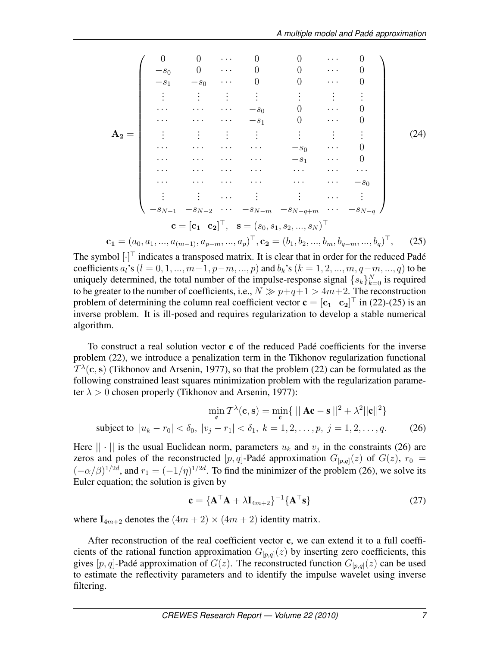$$
A_2 = \begin{pmatrix}\n0 & 0 & \cdots & 0 & 0 & \cdots & 0 \\
-s_0 & 0 & \cdots & 0 & 0 & \cdots & 0 \\
-s_1 & -s_0 & \cdots & 0 & 0 & \cdots & 0 \\
\vdots & \vdots & \vdots & \vdots & \vdots & \vdots & \vdots \\
\cdots & \cdots & \cdots & -s_0 & 0 & \cdots & 0 \\
\cdots & \cdots & \cdots & -s_1 & 0 & \cdots & 0 \\
\vdots & \vdots & \vdots & \vdots & \vdots & \vdots & \vdots \\
\cdots & \cdots & \cdots & \cdots & -s_0 & \cdots & 0 \\
\cdots & \cdots & \cdots & \cdots & \cdots & \cdots & \cdots \\
\cdots & \cdots & \cdots & \cdots & \cdots & \cdots & \cdots \\
\vdots & \vdots & \cdots & \vdots & \vdots & \cdots & \vdots \\
-s_{N-1} & -s_{N-2} & \cdots & -s_{N-m} & -s_{N-q+m} & \cdots & -s_{N-q} \\
\vdots & \vdots & \cdots & \vdots & \vdots & \cdots & \vdots \\
-s_{N-1} & -s_{N-2} & \cdots & -s_{N-m} & -s_{N-q+m} & \cdots & -s_{N-q} \\
\vdots & \vdots & \vdots & \cdots & \vdots & \vdots \\
-s_{N-1} & -s_{N-2} & \cdots & -s_{N-m} & -s_{N-q+m} & \cdots & -s_{N-q}\n\end{pmatrix}
$$
\n
$$
c_1 = (a_0, a_1, \ldots, a_{(m-1)}, a_{p-m}, \ldots, a_p)^{\top}, c_2 = (b_1, b_2, \ldots, b_m, b_{q-m}, \ldots, b_q)^{\top}, (25)
$$

The symbol  $[\cdot]^\top$  indicates a transposed matrix. It is clear that in order for the reduced Padé coefficients  $a_i$ 's ( $l = 0, 1, ..., m-1, p-m, ..., p$ ) and  $b_k$ 's ( $k = 1, 2, ..., m, q-m, ..., q$ ) to be uniquely determined, the total number of the impulse-response signal  $\{s_k\}_{k=0}^N$  is required to be greater to the number of coefficients, i.e.,  $N \gg p+q+1 > 4m+2$ . The reconstruction problem of determining the column real coefficient vector  $\mathbf{c} = [\mathbf{c_1} \quad \mathbf{c_2}]^{\top}$  in (22)-(25) is an inverse problem. It is ill-posed and requires regularization to develop a stable numerical algorithm.

To construct a real solution vector c of the reduced Padé coefficients for the inverse problem (22), we introduce a penalization term in the Tikhonov regularization functional  $T^{\lambda}(\mathbf{c}, \mathbf{s})$  (Tikhonov and Arsenin, 1977), so that the problem (22) can be formulated as the following constrained least squares minimization problem with the regularization parameter  $\lambda > 0$  chosen properly (Tikhonov and Arsenin, 1977):

$$
\min_{\mathbf{c}} \mathcal{T}^{\lambda}(\mathbf{c}, \mathbf{s}) = \min_{\mathbf{c}} \{ ||\mathbf{A}\mathbf{c} - \mathbf{s}||^{2} + \lambda^{2} ||\mathbf{c}||^{2} \}
$$
  
subject to  $|u_{k} - r_{0}| < \delta_{0}, |v_{j} - r_{1}| < \delta_{1}, k = 1, 2, ..., p, j = 1, 2, ..., q.$  (26)

Here  $|| \cdot ||$  is the usual Euclidean norm, parameters  $u_k$  and  $v_j$  in the constraints (26) are zeros and poles of the reconstructed  $[p, q]$ -Padé approximation  $G_{[p,q]}(z)$  of  $G(z)$ ,  $r_0 =$  $(-\alpha/\beta)^{1/2d}$ , and  $r_1 = (-1/\eta)^{1/2d}$ . To find the minimizer of the problem (26), we solve its Euler equation; the solution is given by

$$
\mathbf{c} = \{\mathbf{A}^{\top}\mathbf{A} + \lambda \mathbf{I}_{4m+2}\}^{-1} \{\mathbf{A}^{\top}\mathbf{s}\}
$$
 (27)

where  $I_{4m+2}$  denotes the  $(4m+2) \times (4m+2)$  identity matrix.

After reconstruction of the real coefficient vector  $c$ , we can extend it to a full coefficients of the rational function approximation  $G_{[p,q]}(z)$  by inserting zero coefficients, this gives [p, q]-Padé approximation of  $G(z)$ . The reconstructed function  $G_{[p,q]}(z)$  can be used to estimate the reflectivity parameters and to identify the impulse wavelet using inverse filtering.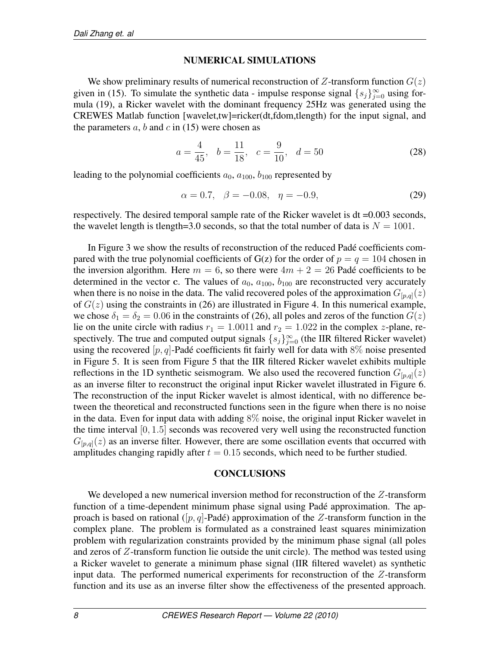## NUMERICAL SIMULATIONS

We show preliminary results of numerical reconstruction of  $Z$ -transform function  $G(z)$ given in (15). To simulate the synthetic data - impulse response signal  $\{s_j\}_{j=0}^{\infty}$  using formula (19), a Ricker wavelet with the dominant frequency 25Hz was generated using the CREWES Matlab function [wavelet,tw]=ricker(dt,fdom,tlength) for the input signal, and the parameters  $a, b$  and  $c$  in (15) were chosen as

$$
a = \frac{4}{45}, \quad b = \frac{11}{18}, \quad c = \frac{9}{10}, \quad d = 50
$$
 (28)

leading to the polynomial coefficients  $a_0$ ,  $a_{100}$ ,  $b_{100}$  represented by

$$
\alpha = 0.7, \quad \beta = -0.08, \quad \eta = -0.9,\tag{29}
$$

respectively. The desired temporal sample rate of the Ricker wavelet is dt =0.003 seconds, the wavelet length is tlength=3.0 seconds, so that the total number of data is  $N = 1001$ .

In Figure 3 we show the results of reconstruction of the reduced Padé coefficients compared with the true polynomial coefficients of  $G(z)$  for the order of  $p = q = 104$  chosen in the inversion algorithm. Here  $m = 6$ , so there were  $4m + 2 = 26$  Padé coefficients to be determined in the vector c. The values of  $a_0$ ,  $a_{100}$ ,  $b_{100}$  are reconstructed very accurately when there is no noise in the data. The valid recovered poles of the approximation  $G_{[p,q]}(z)$ of  $G(z)$  using the constraints in (26) are illustrated in Figure 4. In this numerical example, we chose  $\delta_1 = \delta_2 = 0.06$  in the constraints of (26), all poles and zeros of the function  $G(z)$ lie on the unite circle with radius  $r_1 = 1.0011$  and  $r_2 = 1.022$  in the complex z-plane, respectively. The true and computed output signals  $\{s_j\}_{j=0}^{\infty}$  (the IIR filtered Ricker wavelet) using the recovered  $[p, q]$ -Padé coefficients fit fairly well for data with 8% noise presented in Figure 5. It is seen from Figure 5 that the IIR filtered Ricker wavelet exhibits multiple reflections in the 1D synthetic seismogram. We also used the recovered function  $G_{[p,q]}(z)$ as an inverse filter to reconstruct the original input Ricker wavelet illustrated in Figure 6. The reconstruction of the input Ricker wavelet is almost identical, with no difference between the theoretical and reconstructed functions seen in the figure when there is no noise in the data. Even for input data with adding 8% noise, the original input Ricker wavelet in the time interval [0, 1.5] seconds was recovered very well using the reconstructed function  $G_{[p,q]}(z)$  as an inverse filter. However, there are some oscillation events that occurred with amplitudes changing rapidly after  $t = 0.15$  seconds, which need to be further studied.

#### **CONCLUSIONS**

We developed a new numerical inversion method for reconstruction of the Z-transform function of a time-dependent minimum phase signal using Padé approximation. The approach is based on rational ([p, q]-Padé) approximation of the Z-transform function in the complex plane. The problem is formulated as a constrained least squares minimization problem with regularization constraints provided by the minimum phase signal (all poles and zeros of Z-transform function lie outside the unit circle). The method was tested using a Ricker wavelet to generate a minimum phase signal (IIR filtered wavelet) as synthetic input data. The performed numerical experiments for reconstruction of the Z-transform function and its use as an inverse filter show the effectiveness of the presented approach.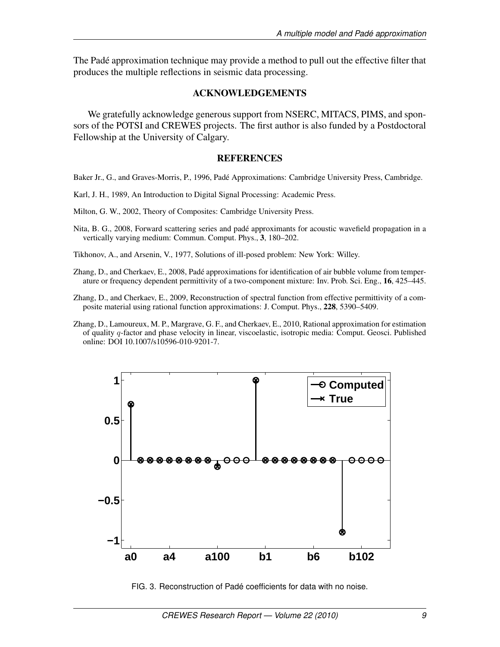The Padé approximation technique may provide a method to pull out the effective filter that produces the multiple reflections in seismic data processing.

## ACKNOWLEDGEMENTS

We gratefully acknowledge generous support from NSERC, MITACS, PIMS, and sponsors of the POTSI and CREWES projects. The first author is also funded by a Postdoctoral Fellowship at the University of Calgary.

### **REFERENCES**

Baker Jr., G., and Graves-Morris, P., 1996, Padé Approximations: Cambridge University Press, Cambridge.

Karl, J. H., 1989, An Introduction to Digital Signal Processing: Academic Press.

Milton, G. W., 2002, Theory of Composites: Cambridge University Press.

Nita, B. G., 2008, Forward scattering series and padé approximants for acoustic wavefield propagation in a vertically varying medium: Commun. Comput. Phys., 3, 180–202.

Tikhonov, A., and Arsenin, V., 1977, Solutions of ill-posed problem: New York: Willey.

- Zhang, D., and Cherkaev, E., 2008, Padé approximations for identification of air bubble volume from temperature or frequency dependent permittivity of a two-component mixture: Inv. Prob. Sci. Eng., 16, 425–445.
- Zhang, D., and Cherkaev, E., 2009, Reconstruction of spectral function from effective permittivity of a composite material using rational function approximations: J. Comput. Phys., 228, 5390–5409.
- Zhang, D., Lamoureux, M. P., Margrave, G. F., and Cherkaev, E., 2010, Rational approximation for estimation of quality q-factor and phase velocity in linear, viscoelastic, isotropic media: Comput. Geosci. Published online: DOI 10.1007/s10596-010-9201-7.



FIG. 3. Reconstruction of Padé coefficients for data with no noise.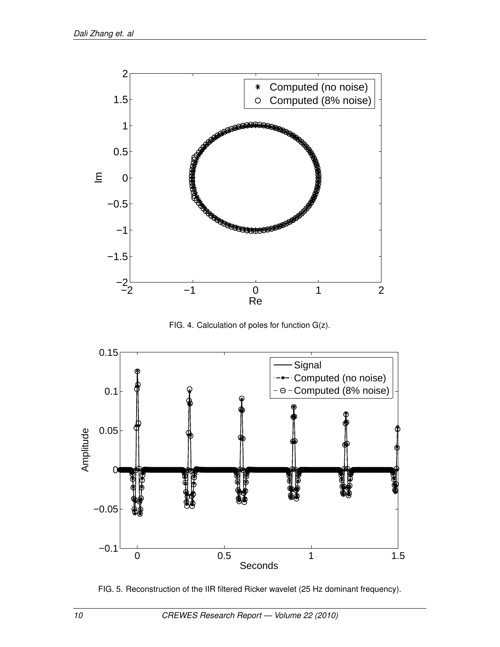

FIG. 4. Calculation of poles for function G(z).